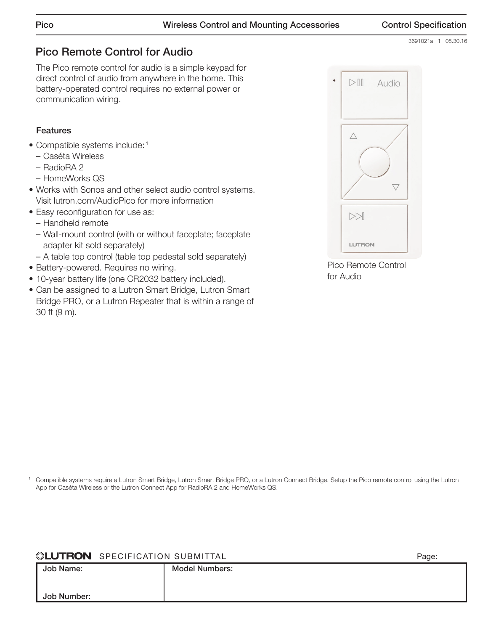3691021a 1 08.30.16

# Pico Remote Control for Audio

The Pico remote control for audio is a simple keypad for direct control of audio from anywhere in the home. This battery-operated control requires no external power or communication wiring.

## Features

- Compatible systems include: 1
	- Caséta Wireless
	- RadioRA 2
	- HomeWorks QS
- Works with Sonos and other select audio control systems. Visit lutron.com/AudioPico for more information
- Easy reconfiguration for use as:
	- Handheld remote
	- Wall-mount control (with or without faceplate; faceplate adapter kit sold separately)
	- A table top control (table top pedestal sold separately)
- Battery-powered. Requires no wiring.
- 10-year battery life (one CR2032 battery included).
- Can be assigned to a Lutron Smart Bridge, Lutron Smart Bridge PRO, or a Lutron Repeater that is within a range of 30 ft (9 m).



Pico Remote Control for Audio

<sup>1</sup> Compatible systems require a Lutron Smart Bridge, Lutron Smart Bridge PRO, or a Lutron Connect Bridge. Setup the Pico remote control using the Lutron App for Caséta Wireless or the Lutron Connect App for RadioRA 2 and HomeWorks QS.

## **SPECIFICATION SUBMITTAL** Page: Page: Page: Page: Page: Page: Page: Page: Page: Page: Page: Page: Page: Page: Page: Page: Page: Page: Page: Page: Page: Page: Page: Page: Page: Page: Page: Page: Page: Page: Page: Page: Pag

|             |                       | . |
|-------------|-----------------------|---|
| Job Name:   | <b>Model Numbers:</b> |   |
|             |                       |   |
|             |                       |   |
| Job Number: |                       |   |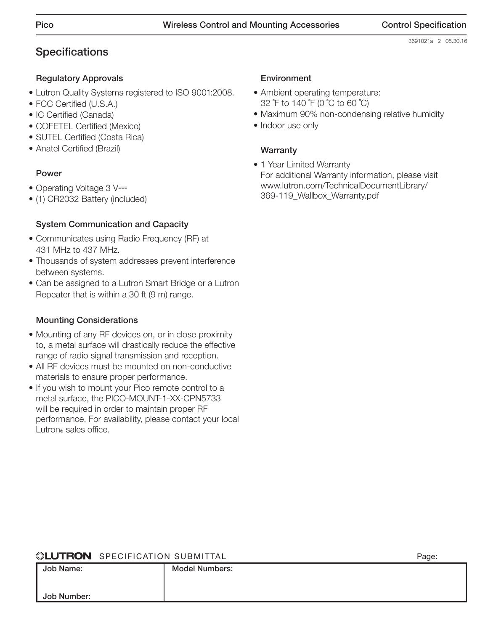# **Specifications**

## Regulatory Approvals

- Lutron Quality Systems registered to ISO 9001:2008.
- FCC Certified (U.S.A.)
- IC Certified (Canada)
- COFETEL Certified (Mexico)
- SUTEL Certified (Costa Rica)
- Anatel Certified (Brazil)

### Power

- Operating Voltage 3 V=
- (1) CR2032 Battery (included)

## System Communication and Capacity

- Communicates using Radio Frequency (RF) at 431 MHz to 437 MHz.
- Thousands of system addresses prevent interference between systems.
- Can be assigned to a Lutron Smart Bridge or a Lutron Repeater that is within a 30 ft (9 m) range.

## Mounting Considerations

- Mounting of any RF devices on, or in close proximity to, a metal surface will drastically reduce the effective range of radio signal transmission and reception.
- All RF devices must be mounted on non-conductive materials to ensure proper performance.
- If you wish to mount your Pico remote control to a metal surface, the PICO-MOUNT-1-XX-CPN5733 will be required in order to maintain proper RF performance. For availability, please contact your local Lutron® sales office.

### Environment

- Ambient operating temperature: 32 ˚F to 140 ˚F (0 ˚C to 60 ˚C)
- Maximum 90% non-condensing relative humidity
- Indoor use only

## **Warranty**

• 1 Year Limited Warranty For additional Warranty information, please visit [www.lutron.com/TechnicalDocumentLibrary/](http://www.lutron.com/TechnicalDocumentLibrary/369-119_Wallbox_Warranty.pdf) [369-119\\_Wallbox\\_Warranty.pdf](http://www.lutron.com/TechnicalDocumentLibrary/369-119_Wallbox_Warranty.pdf)

### **CONTRON** SPECIFICATION SUBMITTAL **Page:** Page:

| .,<br>×<br>٧<br>× |
|-------------------|
|-------------------|

|             |                       | ັ |
|-------------|-----------------------|---|
| Job Name:   | <b>Model Numbers:</b> |   |
|             |                       |   |
| Job Number: |                       |   |
|             |                       |   |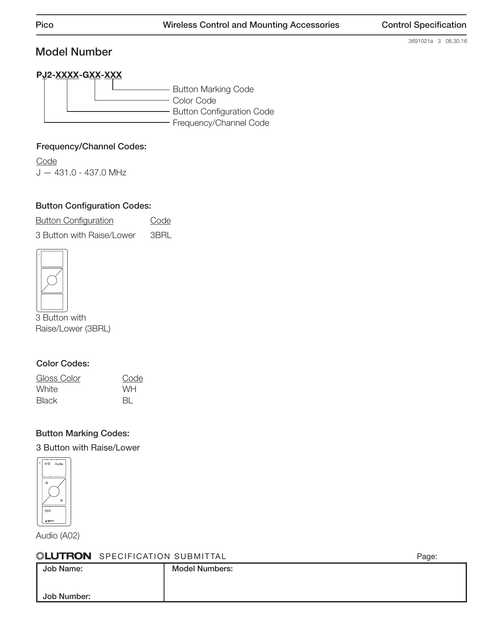# Model Number

3691021a 3 08.30.16

# PJ2-XXXX-GXX-XXX

Button Marking Code Color Code Button Configuration Code Frequency/Channel Code

## Frequency/Channel Codes:

**Code** J — 431.0 - 437.0 MHz

# Button Configuration Codes:

**Button Configuration** Code 3 Button with Raise/Lower 3BRL



3 Button with Raise/Lower (3BRL)

## Color Codes:

| Gloss Color | Code      |
|-------------|-----------|
| White       | <b>WH</b> |
| Black       | BL.       |

## Button Marking Codes:

3 Button with Raise/Lower



Audio (A02)

### **SPECIFICATION SUBMITTAL Page:** Page:

| WESTINGIT OF LOTITORITOR OUDINITIAL |                       | uyv. |
|-------------------------------------|-----------------------|------|
| Job Name:                           | <b>Model Numbers:</b> |      |
|                                     |                       |      |
| Job Number:                         |                       |      |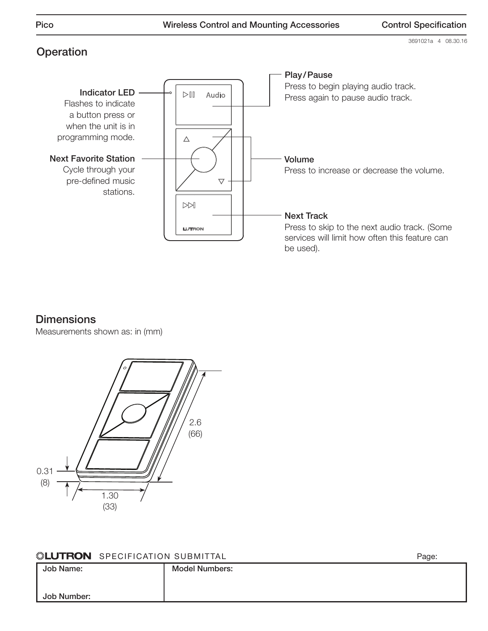3691021a 4 08.30.16

# **Operation**



# **Dimensions**

Measurements shown as: in (mm)



| <b>SEUTRON</b> SPECIFICATION SUBMITTAL | Page: |
|----------------------------------------|-------|
|----------------------------------------|-------|

| ______<br>_________ |                       | - ت |
|---------------------|-----------------------|-----|
| Job Name:           | <b>Model Numbers:</b> |     |
|                     |                       |     |
| Job Number:         |                       |     |
|                     |                       |     |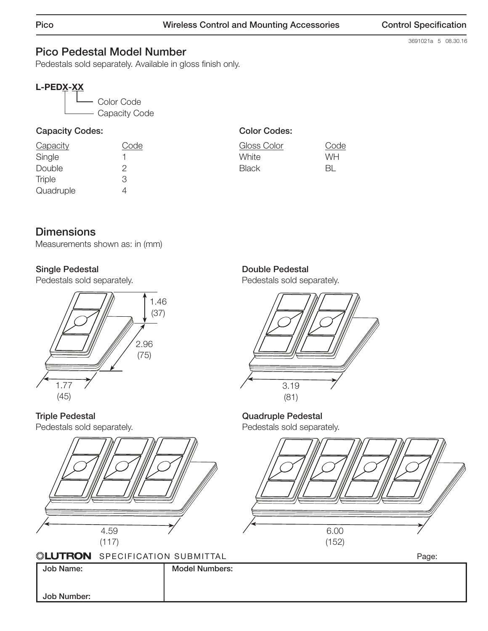# 3691021a 5 08.30.16

# Pico Pedestal Model Number

Pedestals sold separately. Available in gloss finish only.

# L-PEDX-XX



# Capacity Codes:

| Capacity      | Code |
|---------------|------|
| Single        |      |
| Double        | 2    |
| <b>Triple</b> | З    |
| Quadruple     | 4    |

# Color Codes:

| Gloss Color  | Code      |
|--------------|-----------|
| White        | <b>WH</b> |
| <b>Black</b> | -BL       |

# **Dimensions**

Measurements shown as: in (mm)

## Single Pedestal

Pedestals sold separately.



Triple Pedestal Pedestals sold separately.



Pedestals sold separately.



#### Quadruple Pedestal Pedestals sold separately.





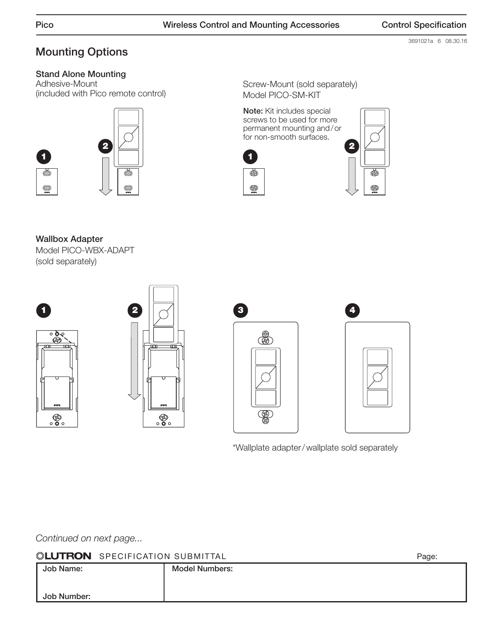3691021a 6 08.30.16

# Mounting Options

# Stand Alone Mounting

Adhesive-Mount (included with Pico remote control)



Screw-Mount (sold separately) Model PICO-SM-KIT

Note: Kit includes special screws to be used for more permanent mounting and/or for non-smooth surfaces.





Wallbox Adapter Model PICO-WBX-ADAPT (sold separately)









\*Wallplate adapter/wallplate sold separately

*Continued on next page...*

| <b>NEUTRON</b> SPECIFICATION SUBMITTAL |  |  |
|----------------------------------------|--|--|
|----------------------------------------|--|--|

 $\begin{array}{ccc} \text{SPECIFICATION SUBMITIAL} \end{array}$ Job Name: Job Number: Model Numbers: